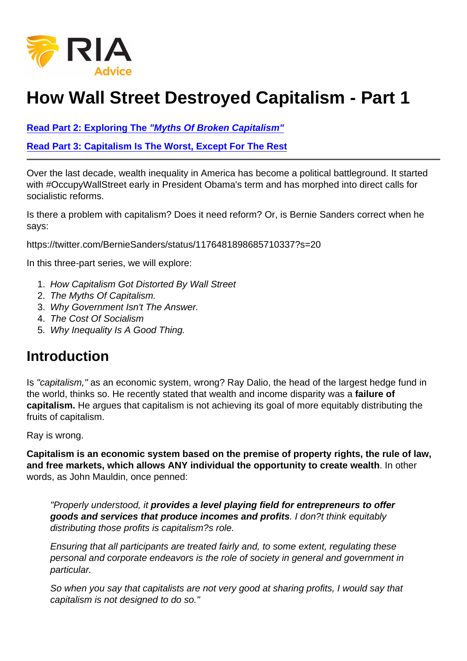## How Wall Street Destroyed Capitalism - Part 1

[Read Part 2: Exploring The "Myths Of Broken Capitalism"](https://realinvestmentadvice.com/the-myths-of-broken-capitalism-part-2/)

[Read Part 3: Capitalism Is The Worst, Except For The Rest](https://realinvestmentadvice.com/capitalism-is-the-worst-except-for-all-the-rest-part-3/)

Over the last decade, wealth inequality in America has become a political battleground. It started with #OccupyWallStreet early in President Obama's term and has morphed into direct calls for socialistic reforms.

Is there a problem with capitalism? Does it need reform? Or, is Bernie Sanders correct when he says:

https://twitter.com/BernieSanders/status/1176481898685710337?s=20

In this three-part series, we will explore:

- 1. How Capitalism Got Distorted By Wall Street
- 2. The Myths Of Capitalism.
- 3. Why Government Isn't The Answer.
- 4. The Cost Of Socialism
- 5. Why Inequality Is A Good Thing.

## **Introduction**

Is "capitalism," as an economic system, wrong? Ray Dalio, the head of the largest hedge fund in the world, thinks so. He recently stated that wealth and income disparity was a failure of capitalism. He argues that capitalism is not achieving its goal of more equitably distributing the fruits of capitalism.

Ray is wrong.

Capitalism is an economic system based on the premise of property rights, the rule of law, and free markets, which allows ANY individual the opportunity to create wealth . In other words, as John Mauldin, once penned:

"Properly understood, it provides a level playing field for entrepreneurs to offer goods and services that produce incomes and profits . I don?t think equitably distributing those profits is capitalism?s role.

Ensuring that all participants are treated fairly and, to some extent, regulating these personal and corporate endeavors is the role of society in general and government in particular.

So when you say that capitalists are not very good at sharing profits, I would say that capitalism is not designed to do so."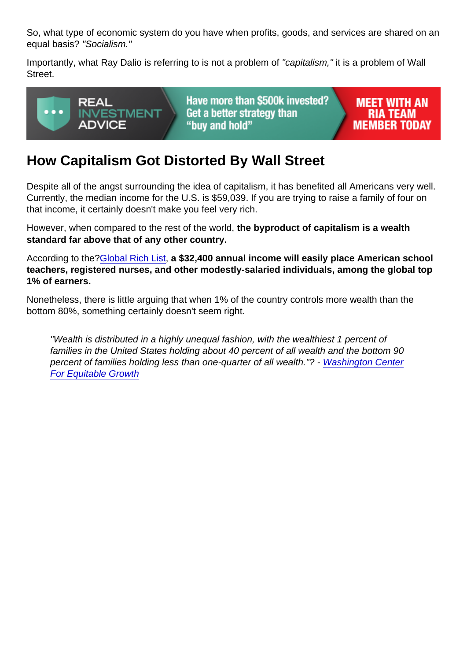So, what type of economic system do you have when profits, goods, and services are shared on an equal basis? "Socialism."

Importantly, what Ray Dalio is referring to is not a problem of "capitalism," it is a problem of Wall Street.

## How Capitalism Got Distorted By Wall Street

Despite all of the angst surrounding the idea of capitalism, it has benefited all Americans very well. Currently, the median income for the U.S. is \$59,039. If you are trying to raise a family of four on that income, it certainly doesn't make you feel very rich.

However, when compared to the rest of the world, the byproduct of capitalism is a wealth standard far above that of any other country.

According to the[?Global Rich List](http://www.globalrichlist.com/), a \$32,400 annual income will easily place American school teachers, registered nurses, and other modestly-salaried individuals, among the global top 1% of earners.

Nonetheless, there is little arguing that when 1% of the country controls more wealth than the bottom 80%, something certainly doesn't seem right.

"Wealth is distributed in a highly unequal fashion, with the wealthiest 1 percent of families in the United States holding about 40 percent of all wealth and the bottom 90 percent of families holding less than one-quarter of all wealth."? - [Washington Center](https://equitablegrowth.org/the-distribution-of-wealth-in-the-united-states-and-implications-for-a-net-worth-tax/) [For Equitable Growth](https://equitablegrowth.org/the-distribution-of-wealth-in-the-united-states-and-implications-for-a-net-worth-tax/)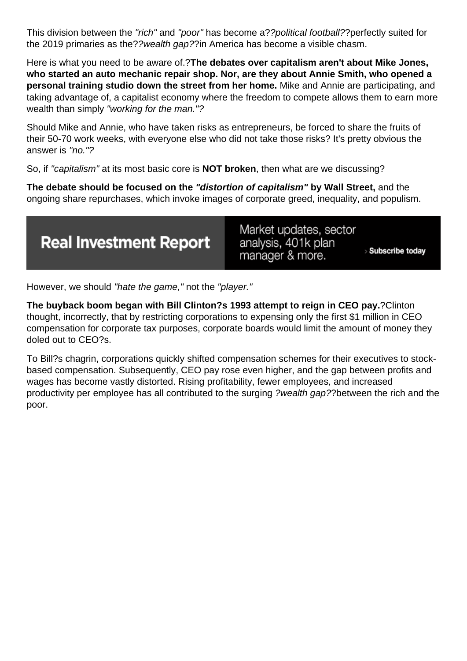This division between the "rich" and "poor" has become a??political football??perfectly suited for the 2019 primaries as the??wealth gap??in America has become a visible chasm.

Here is what you need to be aware of.?**The debates over capitalism aren't about Mike Jones, who started an auto mechanic repair shop. Nor, are they about Annie Smith, who opened a personal training studio down the street from her home.** Mike and Annie are participating, and taking advantage of, a capitalist economy where the freedom to compete allows them to earn more wealth than simply "working for the man."?

Should Mike and Annie, who have taken risks as entrepreneurs, be forced to share the fruits of their 50-70 work weeks, with everyone else who did not take those risks? It's pretty obvious the answer is "no."?

So, if "capitalism" at its most basic core is **NOT broken**, then what are we discussing?

**The debate should be focused on the "distortion of capitalism" by Wall Street,** and the ongoing share repurchases, which invoke images of corporate greed, inequality, and populism.



However, we should "hate the game," not the "player."

**The buyback boom began with Bill Clinton?s 1993 attempt to reign in CEO pay.**?Clinton thought, incorrectly, that by restricting corporations to expensing only the first \$1 million in CEO compensation for corporate tax purposes, corporate boards would limit the amount of money they doled out to CEO?s.

To Bill?s chagrin, corporations quickly shifted compensation schemes for their executives to stockbased compensation. Subsequently, CEO pay rose even higher, and the gap between profits and wages has become vastly distorted. Rising profitability, fewer employees, and increased productivity per employee has all contributed to the surging ?wealth gap??between the rich and the poor.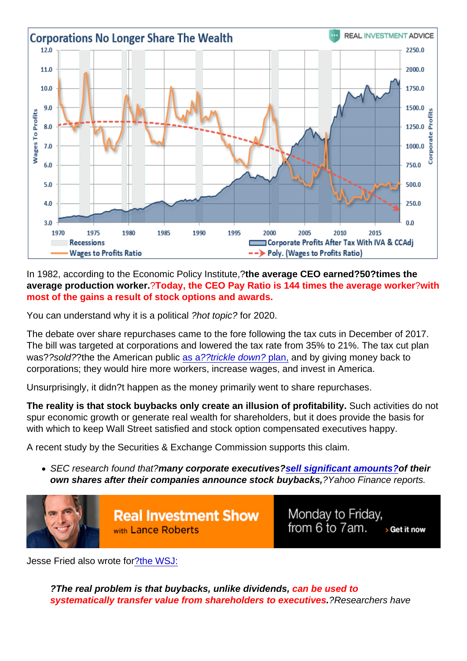In 1982, according to the Economic Policy Institute,?the average CEO earned?50?times the average production worker. ?Today, the CEO Pay Ratio is 144 times the average worker ?with most of the gains a result of stock options and awards.

You can understand why it is a political ?hot topic? for 2020.

The debate over share repurchases came to the fore following the tax cuts in December of 2017. The bill was targeted at corporations and lowered the tax rate from 35% to 21%. The tax cut plan was??sold??the the American public [as a??trickle down? plan,](https://realinvestmentadvice.com/the-data-is-in-tax-cuts-and-the-failure-to-trickle-down/) and by giving money back to corporations; they would hire more workers, increase wages, and invest in America.

Unsurprisingly, it didn?t happen as the money primarily went to share repurchases.

The reality is that stock buybacks only create an illusion of profitability. Such activities do not spur economic growth or generate real wealth for shareholders, but it does provide the basis for with which to keep Wall Street satisfied and stock option compensated executives happy.

A recent study by the Securities & Exchange Commission supports this claim.

• SEC research found that?many corporate executives? [sell significant amounts?](https://finance.yahoo.com/news/sec-executives-sell-after-buybacks-stock-underperforms-193026227.html?ncid=twitter_yfsocialtw_l1gbd0noiom) of their own shares after their companies announce stock buybacks, ?Yahoo Finance reports.

Jesse Fried also wrote fo[r?the WSJ:](https://www.wsj.com/articles/the-real-problem-with-stock-buybacks-1530903118)

?The real problem is that buybacks, unlike dividends, can be used to systematically transfer value from shareholders to executives . ?Researchers have